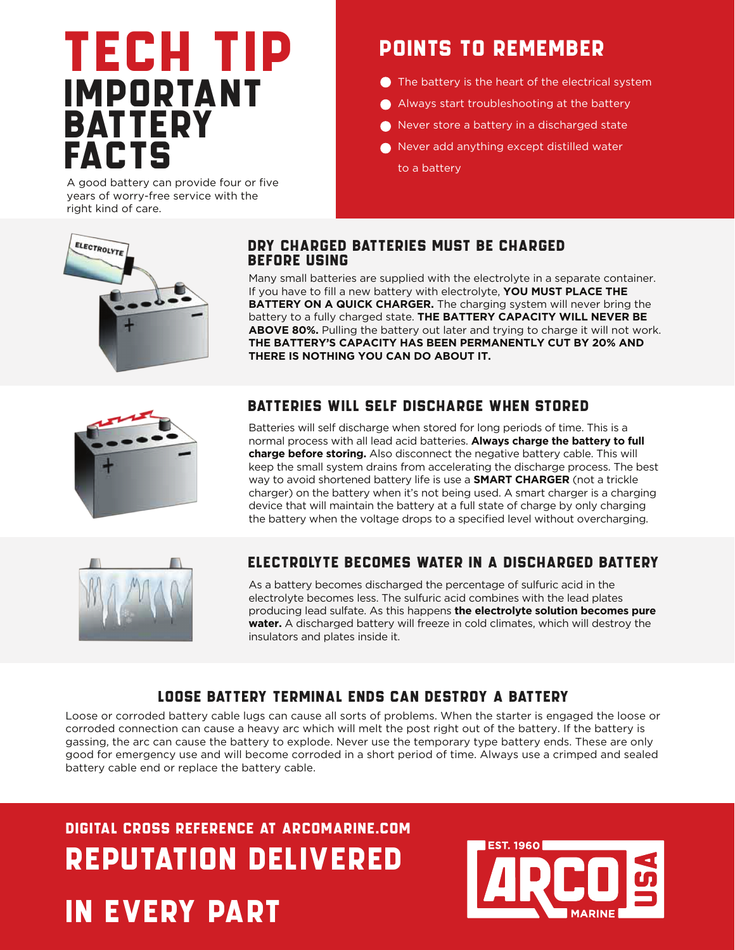# TECH TIP IMPORTANT **BATTERY** FACTS

A good battery can provide four or five years of worry-free service with the right kind of care.

### POINTS TO REMEMBER

- The battery is the heart of the electrical system
- Always start troubleshooting at the battery
- Never store a battery in a discharged state
- Never add anything except distilled water to a battery



#### DRY CHARGED BATTERIES MUST BE CHARGED BEFORE USING

Many small batteries are supplied with the electrolyte in a separate container. If you have to fill a new battery with electrolyte, **YOU MUST PLACE THE BATTERY ON A QUICK CHARGER.** The charging system will never bring the battery to a fully charged state. **THE BATTERY CAPACITY WILL NEVER BE ABOVE 80%.** Pulling the battery out later and trying to charge it will not work. **THE BATTERY'S CAPACITY HAS BEEN PERMANENTLY CUT BY 20% AND THERE IS NOTHING YOU CAN DO ABOUT IT.** 



#### BATTERIES WILL SELF DISCHARGE WHEN STORED

Batteries will self discharge when stored for long periods of time. This is a normal process with all lead acid batteries. **Always charge the battery to full charge before storing.** Also disconnect the negative battery cable. This will keep the small system drains from accelerating the discharge process. The best way to avoid shortened battery life is use a **SMART CHARGER** (not a trickle charger) on the battery when it's not being used. A smart charger is a charging device that will maintain the battery at a full state of charge by only charging the battery when the voltage drops to a specified level without overcharging.



### ELECTROLYTE BECOMES WATER IN A DISCHARGED BATTERY

As a battery becomes discharged the percentage of sulfuric acid in the electrolyte becomes less. The sulfuric acid combines with the lead plates producing lead sulfate. As this happens **the electrolyte solution becomes pure water.** A discharged battery will freeze in cold climates, which will destroy the insulators and plates inside it.

### LOOSE BATTERY TERMINAL ENDS CAN DESTROY A BATTERY

Loose or corroded battery cable lugs can cause all sorts of problems. When the starter is engaged the loose or corroded connection can cause a heavy arc which will melt the post right out of the battery. If the battery is gassing, the arc can cause the battery to explode. Never use the temporary type battery ends. These are only good for emergency use and will become corroded in a short period of time. Always use a crimped and sealed battery cable end or replace the battery cable.

DIGITAL CROSS REFERENCE AT ARCOMARINE.COM REPUTATION DELIVERED

## IN EVERY PART